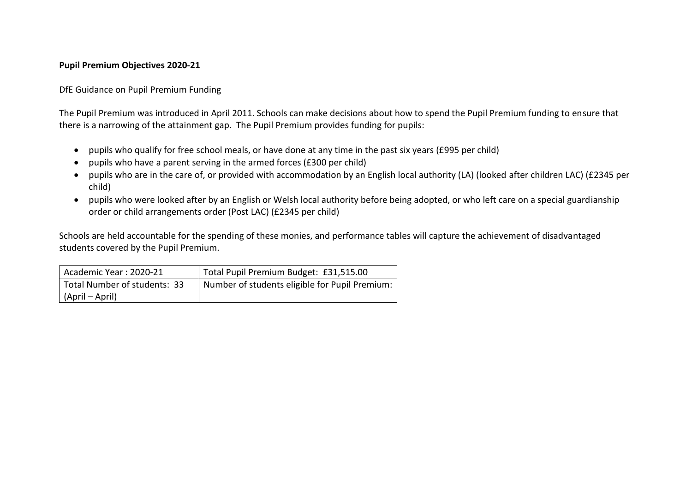## **Pupil Premium Objectives 2020-21**

DfE Guidance on Pupil Premium Funding

The Pupil Premium was introduced in April 2011. Schools can make decisions about how to spend the Pupil Premium funding to ensure that there is a narrowing of the attainment gap. The Pupil Premium provides funding for pupils:

- pupils who qualify for free school meals, or have done at any time in the past six years (£995 per child)
- pupils who have a parent serving in the armed forces (£300 per child)
- pupils who are in the care of, or provided with accommodation by an English local authority (LA) (looked after children LAC) (£2345 per child)
- pupils who were looked after by an English or Welsh local authority before being adopted, or who left care on a special guardianship order or child arrangements order (Post LAC) (£2345 per child)

Schools are held accountable for the spending of these monies, and performance tables will capture the achievement of disadvantaged students covered by the Pupil Premium.

| Academic Year: 2020-21       | Total Pupil Premium Budget: £31,515.00         |
|------------------------------|------------------------------------------------|
| Total Number of students: 33 | Number of students eligible for Pupil Premium: |
| (April – April)              |                                                |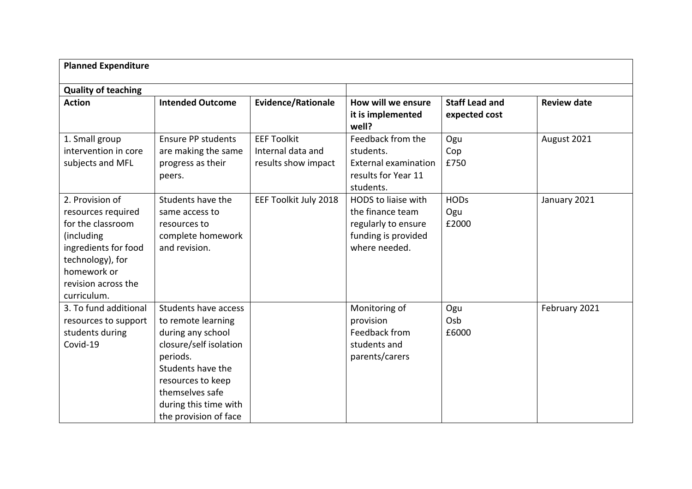| <b>Planned Expenditure</b>                                                                                                                                                |                                                                                                                                                                                                                      |                                                                |                                                                                                        |                                        |                    |
|---------------------------------------------------------------------------------------------------------------------------------------------------------------------------|----------------------------------------------------------------------------------------------------------------------------------------------------------------------------------------------------------------------|----------------------------------------------------------------|--------------------------------------------------------------------------------------------------------|----------------------------------------|--------------------|
| <b>Quality of teaching</b>                                                                                                                                                |                                                                                                                                                                                                                      |                                                                |                                                                                                        |                                        |                    |
| <b>Action</b>                                                                                                                                                             | <b>Intended Outcome</b>                                                                                                                                                                                              | <b>Evidence/Rationale</b>                                      | How will we ensure<br>it is implemented<br>well?                                                       | <b>Staff Lead and</b><br>expected cost | <b>Review date</b> |
| 1. Small group<br>intervention in core<br>subjects and MFL                                                                                                                | <b>Ensure PP students</b><br>are making the same<br>progress as their<br>peers.                                                                                                                                      | <b>EEF Toolkit</b><br>Internal data and<br>results show impact | Feedback from the<br>students.<br><b>External examination</b><br>results for Year 11<br>students.      | Ogu<br>Cop<br>£750                     | August 2021        |
| 2. Provision of<br>resources required<br>for the classroom<br>(including<br>ingredients for food<br>technology), for<br>homework or<br>revision across the<br>curriculum. | Students have the<br>same access to<br>resources to<br>complete homework<br>and revision.                                                                                                                            | EEF Toolkit July 2018                                          | HODS to liaise with<br>the finance team<br>regularly to ensure<br>funding is provided<br>where needed. | <b>HODs</b><br>Ogu<br>£2000            | January 2021       |
| 3. To fund additional<br>resources to support<br>students during<br>Covid-19                                                                                              | Students have access<br>to remote learning<br>during any school<br>closure/self isolation<br>periods.<br>Students have the<br>resources to keep<br>themselves safe<br>during this time with<br>the provision of face |                                                                | Monitoring of<br>provision<br>Feedback from<br>students and<br>parents/carers                          | Ogu<br>Osb<br>£6000                    | February 2021      |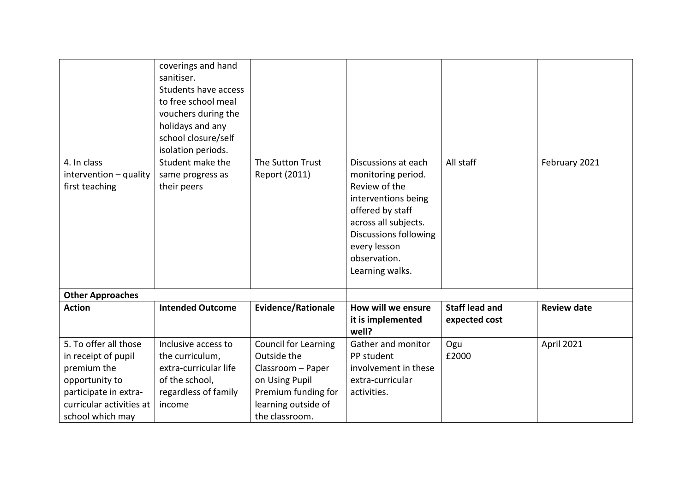| 4. In class                              | coverings and hand<br>sanitiser.<br>Students have access<br>to free school meal<br>vouchers during the<br>holidays and any<br>school closure/self<br>isolation periods.<br>Student make the | The Sutton Trust            | Discussions at each                                                                                                                                                                       | All staff                              | February 2021      |
|------------------------------------------|---------------------------------------------------------------------------------------------------------------------------------------------------------------------------------------------|-----------------------------|-------------------------------------------------------------------------------------------------------------------------------------------------------------------------------------------|----------------------------------------|--------------------|
| intervention - quality<br>first teaching | same progress as<br>their peers                                                                                                                                                             | Report (2011)               | monitoring period.<br>Review of the<br>interventions being<br>offered by staff<br>across all subjects.<br><b>Discussions following</b><br>every lesson<br>observation.<br>Learning walks. |                                        |                    |
| <b>Other Approaches</b>                  |                                                                                                                                                                                             |                             |                                                                                                                                                                                           |                                        |                    |
| <b>Action</b>                            | <b>Intended Outcome</b>                                                                                                                                                                     | <b>Evidence/Rationale</b>   | How will we ensure<br>it is implemented<br>well?                                                                                                                                          | <b>Staff lead and</b><br>expected cost | <b>Review date</b> |
| 5. To offer all those                    | Inclusive access to                                                                                                                                                                         | <b>Council for Learning</b> | Gather and monitor                                                                                                                                                                        | Ogu                                    | April 2021         |
| in receipt of pupil                      | the curriculum,                                                                                                                                                                             | Outside the                 | PP student                                                                                                                                                                                | £2000                                  |                    |
| premium the                              | extra-curricular life                                                                                                                                                                       | Classroom - Paper           | involvement in these                                                                                                                                                                      |                                        |                    |
| opportunity to                           | of the school,                                                                                                                                                                              | on Using Pupil              | extra-curricular                                                                                                                                                                          |                                        |                    |
| participate in extra-                    | regardless of family                                                                                                                                                                        | Premium funding for         | activities.                                                                                                                                                                               |                                        |                    |
| curricular activities at                 | income                                                                                                                                                                                      | learning outside of         |                                                                                                                                                                                           |                                        |                    |
| school which may                         |                                                                                                                                                                                             | the classroom.              |                                                                                                                                                                                           |                                        |                    |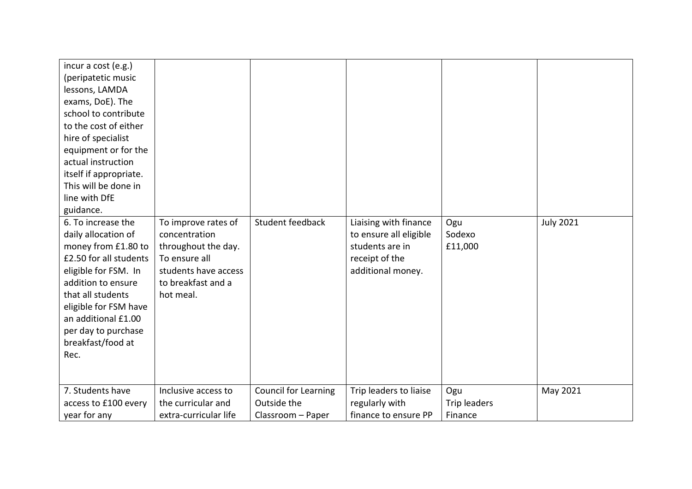| incur a cost (e.g.)<br>(peripatetic music<br>lessons, LAMDA<br>exams, DoE). The<br>school to contribute<br>to the cost of either<br>hire of specialist<br>equipment or for the<br>actual instruction<br>itself if appropriate.<br>This will be done in<br>line with DfE<br>guidance.<br>6. To increase the<br>daily allocation of<br>money from £1.80 to<br>£2.50 for all students<br>eligible for FSM. In<br>addition to ensure<br>that all students<br>eligible for FSM have<br>an additional £1.00<br>per day to purchase<br>breakfast/food at<br>Rec. | To improve rates of<br>concentration<br>throughout the day.<br>To ensure all<br>students have access<br>to breakfast and a<br>hot meal. | Student feedback            | Liaising with finance<br>to ensure all eligible<br>students are in<br>receipt of the<br>additional money. | Ogu<br>Sodexo<br>£11,000 | <b>July 2021</b> |
|-----------------------------------------------------------------------------------------------------------------------------------------------------------------------------------------------------------------------------------------------------------------------------------------------------------------------------------------------------------------------------------------------------------------------------------------------------------------------------------------------------------------------------------------------------------|-----------------------------------------------------------------------------------------------------------------------------------------|-----------------------------|-----------------------------------------------------------------------------------------------------------|--------------------------|------------------|
| 7. Students have                                                                                                                                                                                                                                                                                                                                                                                                                                                                                                                                          | Inclusive access to                                                                                                                     | <b>Council for Learning</b> | Trip leaders to liaise                                                                                    | Ogu                      | May 2021         |
| access to £100 every                                                                                                                                                                                                                                                                                                                                                                                                                                                                                                                                      | the curricular and                                                                                                                      | Outside the                 | regularly with                                                                                            | <b>Trip leaders</b>      |                  |
| year for any                                                                                                                                                                                                                                                                                                                                                                                                                                                                                                                                              | extra-curricular life                                                                                                                   | Classroom - Paper           | finance to ensure PP                                                                                      | Finance                  |                  |